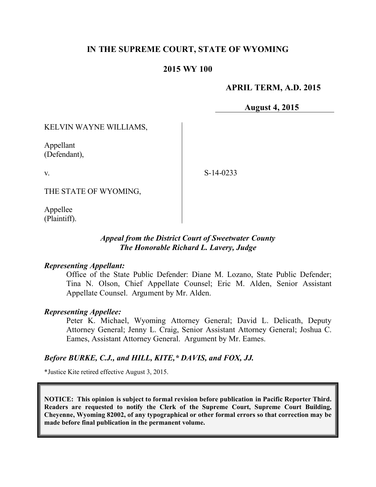## **IN THE SUPREME COURT, STATE OF WYOMING**

## **2015 WY 100**

## **APRIL TERM, A.D. 2015**

**August 4, 2015**

## KELVIN WAYNE WILLIAMS,

Appellant (Defendant),

v.

S-14-0233

THE STATE OF WYOMING,

Appellee (Plaintiff).

## *Appeal from the District Court of Sweetwater County The Honorable Richard L. Lavery, Judge*

#### *Representing Appellant:*

Office of the State Public Defender: Diane M. Lozano, State Public Defender; Tina N. Olson, Chief Appellate Counsel; Eric M. Alden, Senior Assistant Appellate Counsel. Argument by Mr. Alden.

### *Representing Appellee:*

Peter K. Michael, Wyoming Attorney General; David L. Delicath, Deputy Attorney General; Jenny L. Craig, Senior Assistant Attorney General; Joshua C. Eames, Assistant Attorney General. Argument by Mr. Eames.

### *Before BURKE, C.J., and HILL, KITE,\* DAVIS, and FOX, JJ.*

\*Justice Kite retired effective August 3, 2015.

**NOTICE: This opinion is subject to formal revision before publication in Pacific Reporter Third. Readers are requested to notify the Clerk of the Supreme Court, Supreme Court Building, Cheyenne, Wyoming 82002, of any typographical or other formal errors so that correction may be made before final publication in the permanent volume.**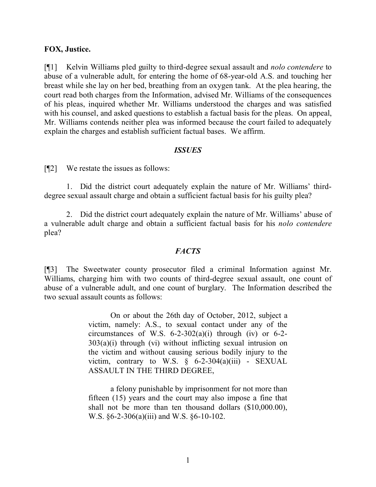### **FOX, Justice.**

[¶1] Kelvin Williams pled guilty to third-degree sexual assault and *nolo contendere* to abuse of a vulnerable adult, for entering the home of 68-year-old A.S. and touching her breast while she lay on her bed, breathing from an oxygen tank. At the plea hearing, the court read both charges from the Information, advised Mr. Williams of the consequences of his pleas, inquired whether Mr. Williams understood the charges and was satisfied with his counsel, and asked questions to establish a factual basis for the pleas. On appeal, Mr. Williams contends neither plea was informed because the court failed to adequately explain the charges and establish sufficient factual bases. We affirm.

#### *ISSUES*

[¶2] We restate the issues as follows:

1. Did the district court adequately explain the nature of Mr. Williams' thirddegree sexual assault charge and obtain a sufficient factual basis for his guilty plea?

2. Did the district court adequately explain the nature of Mr. Williams' abuse of a vulnerable adult charge and obtain a sufficient factual basis for his *nolo contendere* plea?

#### *FACTS*

[¶3] The Sweetwater county prosecutor filed a criminal Information against Mr. Williams, charging him with two counts of third-degree sexual assault, one count of abuse of a vulnerable adult, and one count of burglary. The Information described the two sexual assault counts as follows:

> On or about the 26th day of October, 2012, subject a victim, namely: A.S., to sexual contact under any of the circumstances of W.S.  $6-2-302(a)(i)$  through (iv) or  $6-2 303(a)(i)$  through (vi) without inflicting sexual intrusion on the victim and without causing serious bodily injury to the victim, contrary to W.S.  $\S$  6-2-304(a)(iii) - SEXUAL ASSAULT IN THE THIRD DEGREE,

> a felony punishable by imprisonment for not more than fifteen (15) years and the court may also impose a fine that shall not be more than ten thousand dollars (\$10,000.00), W.S. §6-2-306(a)(iii) and W.S. §6-10-102.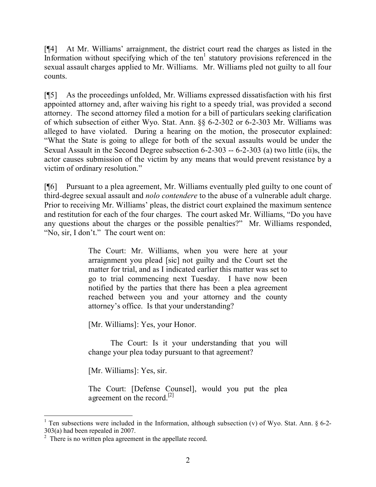[¶4] At Mr. Williams' arraignment, the district court read the charges as listed in the Information without specifying which of the ten<sup>1</sup> statutory provisions referenced in the sexual assault charges applied to Mr. Williams. Mr. Williams pled not guilty to all four counts.

[¶5] As the proceedings unfolded, Mr. Williams expressed dissatisfaction with his first appointed attorney and, after waiving his right to a speedy trial, was provided a second attorney. The second attorney filed a motion for a bill of particulars seeking clarification of which subsection of either Wyo. Stat. Ann. §§ 6-2-302 or 6-2-303 Mr. Williams was alleged to have violated. During a hearing on the motion, the prosecutor explained: "What the State is going to allege for both of the sexual assaults would be under the Sexual Assault in the Second Degree subsection 6-2-303 -- 6-2-303 (a) two little (ii)s, the actor causes submission of the victim by any means that would prevent resistance by a victim of ordinary resolution."

[¶6] Pursuant to a plea agreement, Mr. Williams eventually pled guilty to one count of third-degree sexual assault and *nolo contendere* to the abuse of a vulnerable adult charge. Prior to receiving Mr. Williams' pleas, the district court explained the maximum sentence and restitution for each of the four charges. The court asked Mr. Williams, "Do you have any questions about the charges or the possible penalties?" Mr. Williams responded, "No, sir, I don't." The court went on:

> The Court: Mr. Williams, when you were here at your arraignment you plead [sic] not guilty and the Court set the matter for trial, and as I indicated earlier this matter was set to go to trial commencing next Tuesday. I have now been notified by the parties that there has been a plea agreement reached between you and your attorney and the county attorney's office. Is that your understanding?

[Mr. Williams]: Yes, your Honor.

The Court: Is it your understanding that you will change your plea today pursuant to that agreement?

[Mr. Williams]: Yes, sir.

The Court: [Defense Counsel], would you put the plea agreement on the record.<sup>[2]</sup>

 <sup>1</sup> Ten subsections were included in the Information, although subsection (v) of Wyo. Stat. Ann.  $\S$  6-2-303(a) had been repealed in 2007.

 $2$  There is no written plea agreement in the appellate record.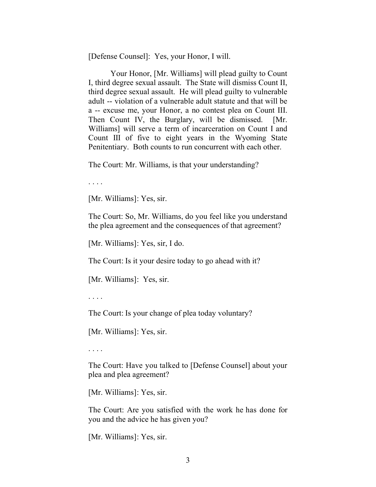[Defense Counsel]: Yes, your Honor, I will.

Your Honor, [Mr. Williams] will plead guilty to Count I, third degree sexual assault. The State will dismiss Count II, third degree sexual assault. He will plead guilty to vulnerable adult -- violation of a vulnerable adult statute and that will be a -- excuse me, your Honor, a no contest plea on Count III. Then Count IV, the Burglary, will be dismissed. [Mr. Williams] will serve a term of incarceration on Count I and Count III of five to eight years in the Wyoming State Penitentiary. Both counts to run concurrent with each other.

The Court: Mr. Williams, is that your understanding?

. . . .

[Mr. Williams]: Yes, sir.

The Court: So, Mr. Williams, do you feel like you understand the plea agreement and the consequences of that agreement?

[Mr. Williams]: Yes, sir, I do.

The Court: Is it your desire today to go ahead with it?

[Mr. Williams]: Yes, sir.

. . . .

The Court: Is your change of plea today voluntary?

[Mr. Williams]: Yes, sir.

. . . .

The Court: Have you talked to [Defense Counsel] about your plea and plea agreement?

[Mr. Williams]: Yes, sir.

The Court: Are you satisfied with the work he has done for you and the advice he has given you?

[Mr. Williams]: Yes, sir.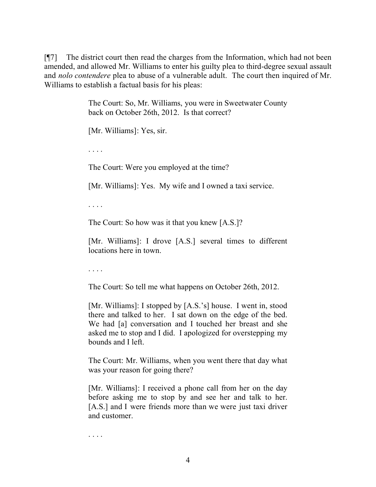[¶7] The district court then read the charges from the Information, which had not been amended, and allowed Mr. Williams to enter his guilty plea to third-degree sexual assault and *nolo contendere* plea to abuse of a vulnerable adult. The court then inquired of Mr. Williams to establish a factual basis for his pleas:

> The Court: So, Mr. Williams, you were in Sweetwater County back on October 26th, 2012. Is that correct?

[Mr. Williams]: Yes, sir.

. . . .

The Court: Were you employed at the time?

[Mr. Williams]: Yes. My wife and I owned a taxi service.

. . . .

The Court: So how was it that you knew [A.S.]?

[Mr. Williams]: I drove [A.S.] several times to different locations here in town.

. . . .

The Court: So tell me what happens on October 26th, 2012.

[Mr. Williams]: I stopped by [A.S.'s] house. I went in, stood there and talked to her. I sat down on the edge of the bed. We had [a] conversation and I touched her breast and she asked me to stop and I did. I apologized for overstepping my bounds and I left.

The Court: Mr. Williams, when you went there that day what was your reason for going there?

[Mr. Williams]: I received a phone call from her on the day before asking me to stop by and see her and talk to her. [A.S.] and I were friends more than we were just taxi driver and customer.

. . . .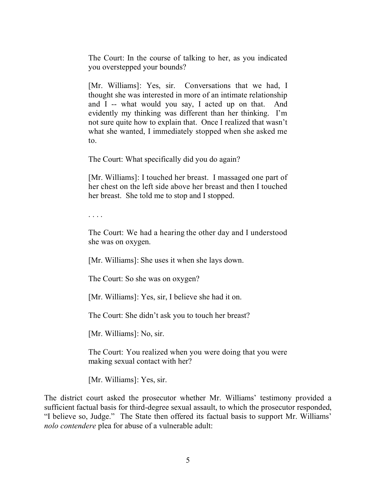The Court: In the course of talking to her, as you indicated you overstepped your bounds?

[Mr. Williams]: Yes, sir. Conversations that we had, I thought she was interested in more of an intimate relationship and I -- what would you say, I acted up on that. And evidently my thinking was different than her thinking. I'm not sure quite how to explain that. Once I realized that wasn't what she wanted, I immediately stopped when she asked me to.

The Court: What specifically did you do again?

[Mr. Williams]: I touched her breast. I massaged one part of her chest on the left side above her breast and then I touched her breast. She told me to stop and I stopped.

. . . .

The Court: We had a hearing the other day and I understood she was on oxygen.

[Mr. Williams]: She uses it when she lays down.

The Court: So she was on oxygen?

[Mr. Williams]: Yes, sir, I believe she had it on.

The Court: She didn't ask you to touch her breast?

[Mr. Williams]: No, sir.

The Court: You realized when you were doing that you were making sexual contact with her?

[Mr. Williams]: Yes, sir.

The district court asked the prosecutor whether Mr. Williams' testimony provided a sufficient factual basis for third-degree sexual assault, to which the prosecutor responded, "I believe so, Judge." The State then offered its factual basis to support Mr. Williams' *nolo contendere* plea for abuse of a vulnerable adult: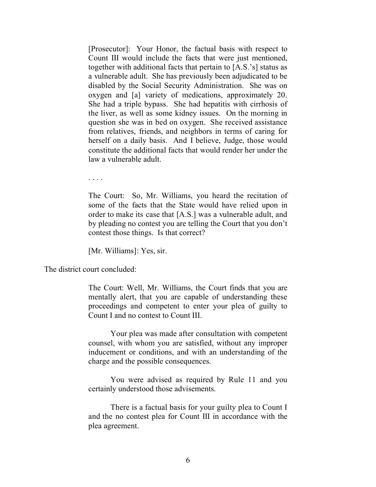[Prosecutor]: Your Honor, the factual basis with respect to Count III would include the facts that were just mentioned, together with additional facts that pertain to [A.S.'s] status as a vulnerable adult. She has previously been adjudicated to be disabled by the Social Security Administration. She was on oxygen and [a] variety of medications, approximately 20. She had a triple bypass. She had hepatitis with cirrhosis of the liver, as well as some kidney issues. On the morning in question she was in bed on oxygen. She received assistance from relatives, friends, and neighbors in terms of caring for herself on a daily basis. And I believe, Judge, those would constitute the additional facts that would render her under the law a vulnerable adult.

. . . .

The Court: So, Mr. Williams, you heard the recitation of some of the facts that the State would have relied upon in order to make its case that [A.S.] was a vulnerable adult, and by pleading no contest you are telling the Court that you don't contest those things. Is that correct?

[Mr. Williams]: Yes, sir.

The district court concluded:

The Court: Well, Mr. Williams, the Court finds that you are mentally alert, that you are capable of understanding these proceedings and competent to enter your plea of guilty to Count I and no contest to Count III.

Your plea was made after consultation with competent counsel, with whom you are satisfied, without any improper inducement or conditions, and with an understanding of the charge and the possible consequences.

You were advised as required by Rule 11 and you certainly understood those advisements.

There is a factual basis for your guilty plea to Count I and the no contest plea for Count III in accordance with the plea agreement.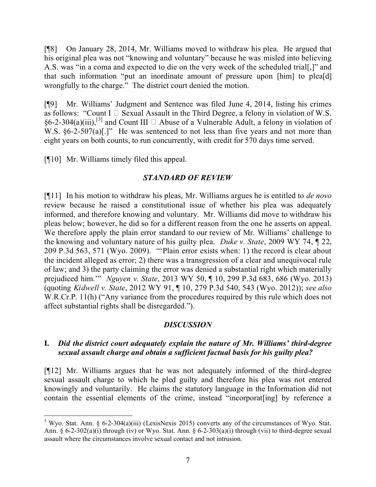[¶8] On January 28, 2014, Mr. Williams moved to withdraw his plea. He argued that his original plea was not "knowing and voluntary" because he was misled into believing A.S. was "in a coma and expected to die on the very week of the scheduled trial[,]" and that such information "put an inordinate amount of pressure upon [him] to plea[d] wrongfully to the charge." The district court denied the motion.

[¶9] Mr. Williams' Judgment and Sentence was filed June 4, 2014, listing his crimes as follows: "Count I  $\Box$  Sexual Assault in the Third Degree, a felony in violation of W.S. §6-2-304(a)(iii),<sup>[3]</sup> and Count III  $\Box$  Abuse of a Vulnerable Adult, a felony in violation of W.S.  $\S6-2-507(a)$ [.]" He was sentenced to not less than five years and not more than eight years on both counts, to run concurrently, with credit for 570 days time served.

[¶10] Mr. Williams timely filed this appeal.

## *STANDARD OF REVIEW*

[¶11] In his motion to withdraw his pleas, Mr. Williams argues he is entitled to *de novo* review because he raised a constitutional issue of whether his plea was adequately informed, and therefore knowing and voluntary. Mr. Williams did move to withdraw his pleas below; however, he did so for a different reason from the one he asserts on appeal. We therefore apply the plain error standard to our review of Mr. Williams' challenge to the knowing and voluntary nature of his guilty plea. *Duke v. State*, 2009 WY 74, ¶ 22, 209 P.3d 563, 571 (Wyo. 2009). "'Plain error exists when: 1) the record is clear about the incident alleged as error; 2) there was a transgression of a clear and unequivocal rule of law; and 3) the party claiming the error was denied a substantial right which materially prejudiced him.'" *Nguyen v. State*, 2013 WY 50, ¶ 10, 299 P.3d 683, 686 (Wyo. 2013) (quoting *Kidwell v. State*, 2012 WY 91, ¶ 10, 279 P.3d 540, 543 (Wyo. 2012)); *see also* W.R.Cr.P. 11(h) ("Any variance from the procedures required by this rule which does not affect substantial rights shall be disregarded.").

## *DISCUSSION*

## **I.** *Did the district court adequately explain the nature of Mr. Williams' third-degree sexual assault charge and obtain a sufficient factual basis for his guilty plea?*

[¶12] Mr. Williams argues that he was not adequately informed of the third-degree sexual assault charge to which he pled guilty and therefore his plea was not entered knowingly and voluntarily. He claims the statutory language in the Information did not contain the essential elements of the crime, instead "incorporat[ing] by reference a

<sup>3</sup> Wyo. Stat. Ann. § 6-2-304(a)(iii) (LexisNexis 2015) converts any of the circumstances of Wyo. Stat. Ann.  $\S 6-2-302(a)(i)$  through (iv) or Wyo. Stat. Ann.  $\S 6-2-303(a)(i)$  through (vii) to third-degree sexual assault where the circumstances involve sexual contact and not intrusion.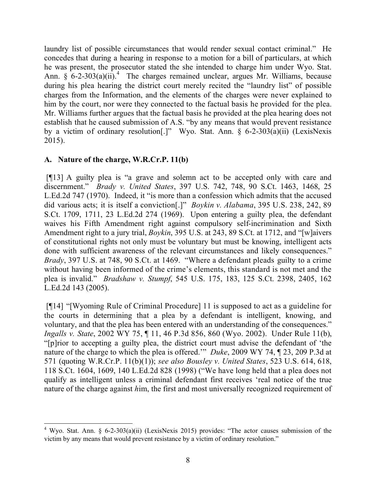laundry list of possible circumstances that would render sexual contact criminal." He concedes that during a hearing in response to a motion for a bill of particulars, at which he was present, the prosecutor stated the she intended to charge him under Wyo. Stat. Ann.  $\hat{\S}$  6-2-303(a)(ii).<sup>4</sup> The charges remained unclear, argues Mr. Williams, because during his plea hearing the district court merely recited the "laundry list" of possible charges from the Information, and the elements of the charges were never explained to him by the court, nor were they connected to the factual basis he provided for the plea. Mr. Williams further argues that the factual basis he provided at the plea hearing does not establish that he caused submission of A.S. "by any means that would prevent resistance by a victim of ordinary resolution[.]" Wyo. Stat. Ann. § 6-2-303(a)(ii) (LexisNexis 2015).

## **A. Nature of the charge, W.R.Cr.P. 11(b)**

[¶13] A guilty plea is "a grave and solemn act to be accepted only with care and discernment." *Brady v. United States*, 397 U.S. 742, 748, 90 S.Ct. 1463, 1468, 25 L.Ed.2d 747 (1970). Indeed, it "is more than a confession which admits that the accused did various acts; it is itself a conviction[.]" *Boykin v. Alabama*, 395 U.S. 238, 242, 89 S.Ct. 1709, 1711, 23 L.Ed.2d 274 (1969). Upon entering a guilty plea, the defendant waives his Fifth Amendment right against compulsory self-incrimination and Sixth Amendment right to a jury trial, *Boykin*, 395 U.S. at 243, 89 S.Ct. at 1712, and "[w]aivers of constitutional rights not only must be voluntary but must be knowing, intelligent acts done with sufficient awareness of the relevant circumstances and likely consequences." *Brady*, 397 U.S. at 748, 90 S.Ct. at 1469. "Where a defendant pleads guilty to a crime without having been informed of the crime's elements, this standard is not met and the plea is invalid." *Bradshaw v. Stumpf*, 545 U.S. 175, 183, 125 S.Ct. 2398, 2405, 162 L.Ed.2d 143 (2005).

[¶14] "[Wyoming Rule of Criminal Procedure] 11 is supposed to act as a guideline for the courts in determining that a plea by a defendant is intelligent, knowing, and voluntary, and that the plea has been entered with an understanding of the consequences." *Ingalls v. State*, 2002 WY 75, ¶ 11, 46 P.3d 856, 860 (Wyo. 2002). Under Rule 11(b), "[p]rior to accepting a guilty plea, the district court must advise the defendant of 'the nature of the charge to which the plea is offered.'" *Duke*, 2009 WY 74, ¶ 23, 209 P.3d at 571 (quoting W.R.Cr.P. 11(b)(1)); *see also Bousley v. United States*, 523 U.S. 614, 618, 118 S.Ct. 1604, 1609, 140 L.Ed.2d 828 (1998) ("We have long held that a plea does not qualify as intelligent unless a criminal defendant first receives 'real notice of the true nature of the charge against *h*im, the first and most universally recognized requirement of

 <sup>4</sup> Wyo. Stat. Ann. § 6-2-303(a)(ii) (LexisNexis 2015) provides: "The actor causes submission of the victim by any means that would prevent resistance by a victim of ordinary resolution."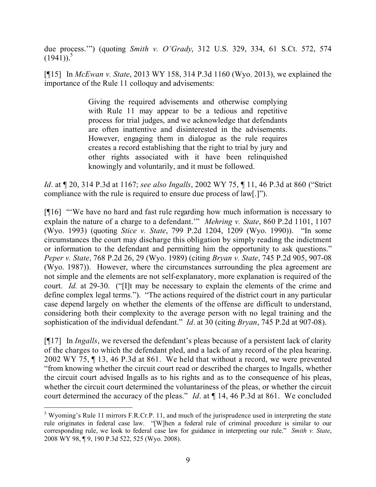due process.'") (quoting *Smith v. O'Grady*, 312 U.S. 329, 334, 61 S.Ct. 572, 574  $(194\overline{1}))$ .<sup>5</sup>

[¶15] In *McEwan v. State*, 2013 WY 158, 314 P.3d 1160 (Wyo. 2013), we explained the importance of the Rule 11 colloquy and advisements:

> Giving the required advisements and otherwise complying with Rule 11 may appear to be a tedious and repetitive process for trial judges, and we acknowledge that defendants are often inattentive and disinterested in the advisements. However, engaging them in dialogue as the rule requires creates a record establishing that the right to trial by jury and other rights associated with it have been relinquished knowingly and voluntarily, and it must be followed.

*Id*. at ¶ 20, 314 P.3d at 1167; *see also Ingalls*, 2002 WY 75, ¶ 11, 46 P.3d at 860 ("Strict compliance with the rule is required to ensure due process of law[.]").

[¶16] "'We have no hard and fast rule regarding how much information is necessary to explain the nature of a charge to a defendant.'" *Mehring v. State*, 860 P.2d 1101, 1107 (Wyo. 1993) (quoting *Stice v. State*, 799 P.2d 1204, 1209 (Wyo. 1990)). "In some circumstances the court may discharge this obligation by simply reading the indictment or information to the defendant and permitting him the opportunity to ask questions." *Peper v. State*, 768 P.2d 26, 29 (Wyo. 1989) (citing *Bryan v. State*, 745 P.2d 905, 907-08 (Wyo. 1987)). However, where the circumstances surrounding the plea agreement are not simple and the elements are not self-explanatory, more explanation is required of the court. *Id.* at 29-30. ("[I]t may be necessary to explain the elements of the crime and define complex legal terms."). "The actions required of the district court in any particular case depend largely on whether the elements of the offense are difficult to understand, considering both their complexity to the average person with no legal training and the sophistication of the individual defendant." *Id*. at 30 (citing *Bryan*, 745 P.2d at 907-08).

[¶17] In *Ingalls*, we reversed the defendant's pleas because of a persistent lack of clarity of the charges to which the defendant pled, and a lack of any record of the plea hearing. 2002 WY 75, ¶ 13, 46 P.3d at 861. We held that without a record, we were prevented "from knowing whether the circuit court read or described the charges to Ingalls, whether the circuit court advised Ingalls as to his rights and as to the consequence of his pleas, whether the circuit court determined the voluntariness of the pleas, or whether the circuit court determined the accuracy of the pleas." *Id*. at ¶ 14, 46 P.3d at 861. We concluded

<sup>&</sup>lt;sup>5</sup> Wyoming's Rule 11 mirrors F.R.Cr.P. 11, and much of the jurisprudence used in interpreting the state rule originates in federal case law. "[W]hen a federal rule of criminal procedure is similar to our corresponding rule, we look to federal case law for guidance in interpreting our rule." *Smith v. State*, 2008 WY 98, ¶ 9, 190 P.3d 522, 525 (Wyo. 2008).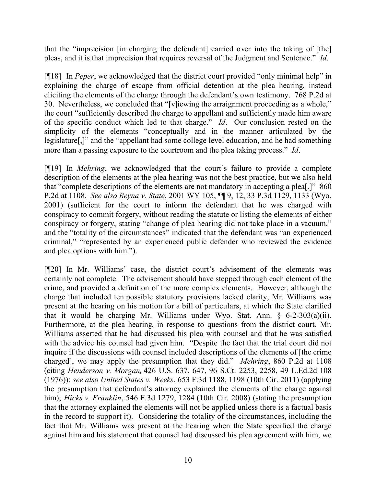that the "imprecision [in charging the defendant] carried over into the taking of [the] pleas, and it is that imprecision that requires reversal of the Judgment and Sentence." *Id*.

[¶18] In *Peper*, we acknowledged that the district court provided "only minimal help" in explaining the charge of escape from official detention at the plea hearing, instead eliciting the elements of the charge through the defendant's own testimony. 768 P.2d at 30. Nevertheless, we concluded that "[v]iewing the arraignment proceeding as a whole," the court "sufficiently described the charge to appellant and sufficiently made him aware of the specific conduct which led to that charge." *Id*. Our conclusion rested on the simplicity of the elements "conceptually and in the manner articulated by the legislature[,]" and the "appellant had some college level education, and he had something more than a passing exposure to the courtroom and the plea taking process." *Id*.

[¶19] In *Mehring*, we acknowledged that the court's failure to provide a complete description of the elements at the plea hearing was not the best practice, but we also held that "complete descriptions of the elements are not mandatory in accepting a plea[.]" 860 P.2d at 1108. *See also Reyna v. State*, 2001 WY 105, ¶¶ 9, 12, 33 P.3d 1129, 1133 (Wyo. 2001) (sufficient for the court to inform the defendant that he was charged with conspiracy to commit forgery, without reading the statute or listing the elements of either conspiracy or forgery, stating "change of plea hearing did not take place in a vacuum," and the "totality of the circumstances" indicated that the defendant was "an experienced criminal," "represented by an experienced public defender who reviewed the evidence and plea options with him.").

[¶20] In Mr. Williams' case, the district court's advisement of the elements was certainly not complete. The advisement should have stepped through each element of the crime, and provided a definition of the more complex elements. However, although the charge that included ten possible statutory provisions lacked clarity, Mr. Williams was present at the hearing on his motion for a bill of particulars, at which the State clarified that it would be charging Mr. Williams under Wyo. Stat. Ann. § 6-2-303(a)(ii). Furthermore, at the plea hearing, in response to questions from the district court, Mr. Williams asserted that he had discussed his plea with counsel and that he was satisfied with the advice his counsel had given him. "Despite the fact that the trial court did not inquire if the discussions with counsel included descriptions of the elements of [the crime charged], we may apply the presumption that they did." *Mehring*, 860 P.2d at 1108 (citing *Henderson v. Morgan,* 426 U.S. 637, 647, 96 S.Ct. 2253, 2258, 49 L.Ed.2d 108 (1976)); *see also United States v. Weeks*, 653 F.3d 1188, 1198 (10th Cir. 2011) (applying the presumption that defendant's attorney explained the elements of the charge against him); *Hicks v. Franklin*, 546 F.3d 1279, 1284 (10th Cir. 2008) (stating the presumption that the attorney explained the elements will not be applied unless there is a factual basis in the record to support it). Considering the totality of the circumstances, including the fact that Mr. Williams was present at the hearing when the State specified the charge against him and his statement that counsel had discussed his plea agreement with him, we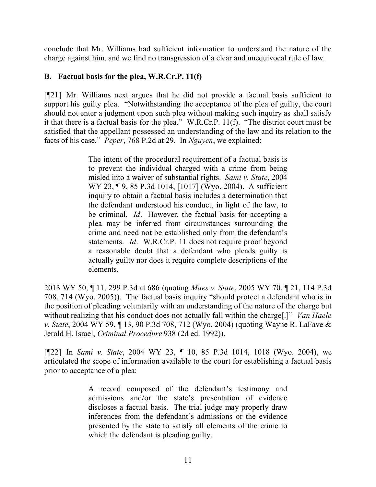conclude that Mr. Williams had sufficient information to understand the nature of the charge against him, and we find no transgression of a clear and unequivocal rule of law.

## **B. Factual basis for the plea, W.R.Cr.P. 11(f)**

[¶21] Mr. Williams next argues that he did not provide a factual basis sufficient to support his guilty plea. "Notwithstanding the acceptance of the plea of guilty, the court should not enter a judgment upon such plea without making such inquiry as shall satisfy it that there is a factual basis for the plea." W.R.Cr.P. 11(f). "The district court must be satisfied that the appellant possessed an understanding of the law and its relation to the facts of his case." *Peper*, 768 P.2d at 29. In *Nguyen*, we explained:

> The intent of the procedural requirement of a factual basis is to prevent the individual charged with a crime from being misled into a waiver of substantial rights. *Sami v. State*, 2004 WY 23, ¶ 9, 85 P.3d 1014, [1017] (Wyo. 2004). A sufficient inquiry to obtain a factual basis includes a determination that the defendant understood his conduct, in light of the law, to be criminal. *Id*. However, the factual basis for accepting a plea may be inferred from circumstances surrounding the crime and need not be established only from the defendant's statements. *Id*. W.R.Cr.P. 11 does not require proof beyond a reasonable doubt that a defendant who pleads guilty is actually guilty nor does it require complete descriptions of the elements.

2013 WY 50, ¶ 11, 299 P.3d at 686 (quoting *Maes v. State*, 2005 WY 70, ¶ 21, 114 P.3d 708, 714 (Wyo. 2005)). The factual basis inquiry "should protect a defendant who is in the position of pleading voluntarily with an understanding of the nature of the charge but without realizing that his conduct does not actually fall within the charge[.]" *Van Haele v. State*, 2004 WY 59, ¶ 13, 90 P.3d 708, 712 (Wyo. 2004) (quoting Wayne R. LaFave & Jerold H. Israel, *Criminal Procedure* 938 (2d ed. 1992)).

[¶22] In *Sami v. State*, 2004 WY 23, ¶ 10, 85 P.3d 1014, 1018 (Wyo. 2004), we articulated the scope of information available to the court for establishing a factual basis prior to acceptance of a plea:

> A record composed of the defendant's testimony and admissions and/or the state's presentation of evidence discloses a factual basis. The trial judge may properly draw inferences from the defendant's admissions or the evidence presented by the state to satisfy all elements of the crime to which the defendant is pleading guilty.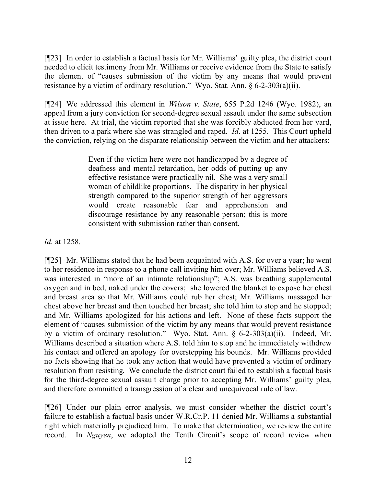[¶23] In order to establish a factual basis for Mr. Williams' guilty plea, the district court needed to elicit testimony from Mr. Williams or receive evidence from the State to satisfy the element of "causes submission of the victim by any means that would prevent resistance by a victim of ordinary resolution." Wyo. Stat. Ann. § 6-2-303(a)(ii).

[¶24] We addressed this element in *Wilson v. State*, 655 P.2d 1246 (Wyo. 1982), an appeal from a jury conviction for second-degree sexual assault under the same subsection at issue here. At trial, the victim reported that she was forcibly abducted from her yard, then driven to a park where she was strangled and raped. *Id*. at 1255. This Court upheld the conviction, relying on the disparate relationship between the victim and her attackers:

> Even if the victim here were not handicapped by a degree of deafness and mental retardation, her odds of putting up any effective resistance were practically nil. She was a very small woman of childlike proportions. The disparity in her physical strength compared to the superior strength of her aggressors would create reasonable fear and apprehension and discourage resistance by any reasonable person; this is more consistent with submission rather than consent.

*Id.* at 1258.

[¶25] Mr. Williams stated that he had been acquainted with A.S. for over a year; he went to her residence in response to a phone call inviting him over; Mr. Williams believed A.S. was interested in "more of an intimate relationship"; A.S. was breathing supplemental oxygen and in bed, naked under the covers; she lowered the blanket to expose her chest and breast area so that Mr. Williams could rub her chest; Mr. Williams massaged her chest above her breast and then touched her breast; she told him to stop and he stopped; and Mr. Williams apologized for his actions and left. None of these facts support the element of "causes submission of the victim by any means that would prevent resistance by a victim of ordinary resolution." Wyo. Stat. Ann. § 6-2-303(a)(ii). Indeed, Mr. Williams described a situation where A.S. told him to stop and he immediately withdrew his contact and offered an apology for overstepping his bounds. Mr. Williams provided no facts showing that he took any action that would have prevented a victim of ordinary resolution from resisting. We conclude the district court failed to establish a factual basis for the third-degree sexual assault charge prior to accepting Mr. Williams' guilty plea, and therefore committed a transgression of a clear and unequivocal rule of law.

[¶26] Under our plain error analysis, we must consider whether the district court's failure to establish a factual basis under W.R.Cr.P. 11 denied Mr. Williams a substantial right which materially prejudiced him. To make that determination, we review the entire record. In *Nguyen*, we adopted the Tenth Circuit's scope of record review when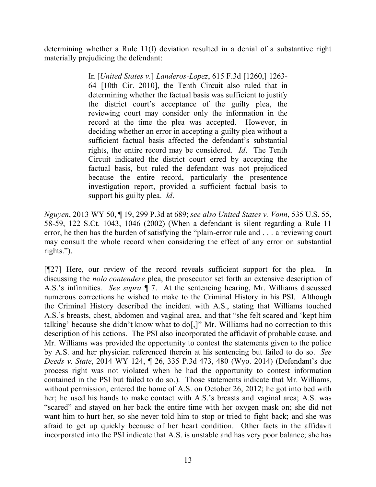determining whether a Rule 11(f) deviation resulted in a denial of a substantive right materially prejudicing the defendant:

> In [*United States v.*] *Landeros-Lopez*, 615 F.3d [1260,] 1263- 64 [10th Cir. 2010], the Tenth Circuit also ruled that in determining whether the factual basis was sufficient to justify the district court's acceptance of the guilty plea, the reviewing court may consider only the information in the record at the time the plea was accepted. However, in deciding whether an error in accepting a guilty plea without a sufficient factual basis affected the defendant's substantial rights, the entire record may be considered. *Id*. The Tenth Circuit indicated the district court erred by accepting the factual basis, but ruled the defendant was not prejudiced because the entire record, particularly the presentence investigation report, provided a sufficient factual basis to support his guilty plea. *Id*.

*Nguyen*, 2013 WY 50, ¶ 19, 299 P.3d at 689; *see also United States v. Vonn*, 535 U.S. 55, 58-59, 122 S.Ct. 1043, 1046 (2002) (When a defendant is silent regarding a Rule 11 error, he then has the burden of satisfying the "plain-error rule and . . . a reviewing court may consult the whole record when considering the effect of any error on substantial rights.").

[¶27] Here, our review of the record reveals sufficient support for the plea. In discussing the *nolo contendere* plea, the prosecutor set forth an extensive description of A.S.'s infirmities. *See supra* ¶ 7. At the sentencing hearing, Mr. Williams discussed numerous corrections he wished to make to the Criminal History in his PSI. Although the Criminal History described the incident with A.S., stating that Williams touched A.S.'s breasts, chest, abdomen and vaginal area, and that "she felt scared and 'kept him talking' because she didn't know what to do[,]" Mr. Williams had no correction to this description of his actions. The PSI also incorporated the affidavit of probable cause, and Mr. Williams was provided the opportunity to contest the statements given to the police by A.S. and her physician referenced therein at his sentencing but failed to do so. *See Deeds v. State*, 2014 WY 124, ¶ 26, 335 P.3d 473, 480 (Wyo. 2014) (Defendant's due process right was not violated when he had the opportunity to contest information contained in the PSI but failed to do so.). Those statements indicate that Mr. Williams, without permission, entered the home of A.S. on October 26, 2012; he got into bed with her; he used his hands to make contact with A.S.'s breasts and vaginal area; A.S. was "scared" and stayed on her back the entire time with her oxygen mask on; she did not want him to hurt her, so she never told him to stop or tried to fight back; and she was afraid to get up quickly because of her heart condition. Other facts in the affidavit incorporated into the PSI indicate that A.S. is unstable and has very poor balance; she has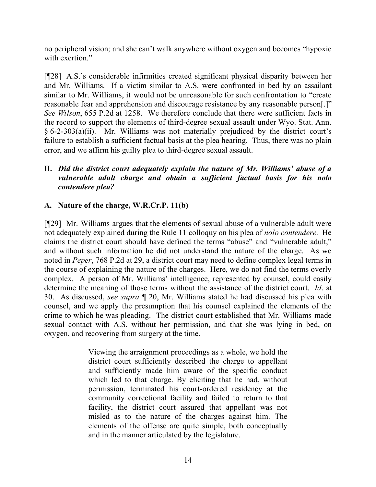no peripheral vision; and she can't walk anywhere without oxygen and becomes "hypoxic with exertion."

[¶28] A.S.'s considerable infirmities created significant physical disparity between her and Mr. Williams. If a victim similar to A.S. were confronted in bed by an assailant similar to Mr. Williams, it would not be unreasonable for such confrontation to "create reasonable fear and apprehension and discourage resistance by any reasonable person[.]" *See Wilson*, 655 P.2d at 1258. We therefore conclude that there were sufficient facts in the record to support the elements of third-degree sexual assault under Wyo. Stat. Ann. § 6-2-303(a)(ii). Mr. Williams was not materially prejudiced by the district court's failure to establish a sufficient factual basis at the plea hearing. Thus, there was no plain error, and we affirm his guilty plea to third-degree sexual assault.

# **II.** *Did the district court adequately explain the nature of Mr. Williams' abuse of a vulnerable adult charge and obtain a sufficient factual basis for his nolo contendere plea?*

# **A. Nature of the charge, W.R.Cr.P. 11(b)**

[¶29] Mr. Williams argues that the elements of sexual abuse of a vulnerable adult were not adequately explained during the Rule 11 colloquy on his plea of *nolo contendere*. He claims the district court should have defined the terms "abuse" and "vulnerable adult," and without such information he did not understand the nature of the charge. As we noted in *Peper*, 768 P.2d at 29, a district court may need to define complex legal terms in the course of explaining the nature of the charges. Here, we do not find the terms overly complex. A person of Mr. Williams' intelligence, represented by counsel, could easily determine the meaning of those terms without the assistance of the district court. *Id*. at 30. As discussed, *see supra* ¶ 20, Mr. Williams stated he had discussed his plea with counsel, and we apply the presumption that his counsel explained the elements of the crime to which he was pleading. The district court established that Mr. Williams made sexual contact with A.S. without her permission, and that she was lying in bed, on oxygen, and recovering from surgery at the time.

> Viewing the arraignment proceedings as a whole, we hold the district court sufficiently described the charge to appellant and sufficiently made him aware of the specific conduct which led to that charge. By eliciting that he had, without permission, terminated his court-ordered residency at the community correctional facility and failed to return to that facility, the district court assured that appellant was not misled as to the nature of the charges against him. The elements of the offense are quite simple, both conceptually and in the manner articulated by the legislature.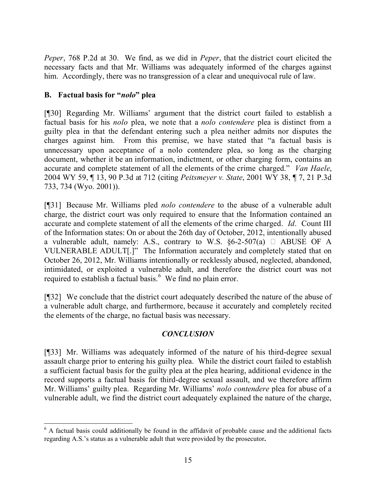*Peper*, 768 P.2d at 30. We find, as we did in *Peper*, that the district court elicited the necessary facts and that Mr. Williams was adequately informed of the charges against him. Accordingly, there was no transgression of a clear and unequivocal rule of law.

# **B. Factual basis for "***nolo***" plea**

[¶30] Regarding Mr. Williams' argument that the district court failed to establish a factual basis for his *nolo* plea, we note that a *nolo contendere* plea is distinct from a guilty plea in that the defendant entering such a plea neither admits nor disputes the charges against him. From this premise, we have stated that "a factual basis is unnecessary upon acceptance of a nolo contendere plea, so long as the charging document, whether it be an information, indictment, or other charging form, contains an accurate and complete statement of all the elements of the crime charged." *Van Haele*, 2004 WY 59, ¶ 13, 90 P.3d at 712 (citing *Peitsmeyer v. State*, 2001 WY 38, ¶ 7, 21 P.3d 733, 734 (Wyo. 2001)).

[¶31] Because Mr. Williams pled *nolo contendere* to the abuse of a vulnerable adult charge, the district court was only required to ensure that the Information contained an accurate and complete statement of all the elements of the crime charged. *Id*. Count III of the Information states: On or about the 26th day of October, 2012, intentionally abused a vulnerable adult, namely: A.S., contrary to W.S.  $\S6-2-507(a)$   $\Box$  ABUSE OF A VULNERABLE ADULT[.]" The Information accurately and completely stated that on October 26, 2012, Mr. Williams intentionally or recklessly abused, neglected, abandoned, intimidated, or exploited a vulnerable adult, and therefore the district court was not required to establish a factual basis.<sup>6</sup> We find no plain error.

[¶32] We conclude that the district court adequately described the nature of the abuse of a vulnerable adult charge, and furthermore, because it accurately and completely recited the elements of the charge, no factual basis was necessary.

# *CONCLUSION*

[¶33] Mr. Williams was adequately informed of the nature of his third-degree sexual assault charge prior to entering his guilty plea. While the district court failed to establish a sufficient factual basis for the guilty plea at the plea hearing, additional evidence in the record supports a factual basis for third-degree sexual assault, and we therefore affirm Mr. Williams' guilty plea. Regarding Mr. Williams' *nolo contendere* plea for abuse of a vulnerable adult, we find the district court adequately explained the nature of the charge,

  $6$  A factual basis could additionally be found in the affidavit of probable cause and the additional facts regarding A.S.'s status as a vulnerable adult that were provided by the prosecutor**.**